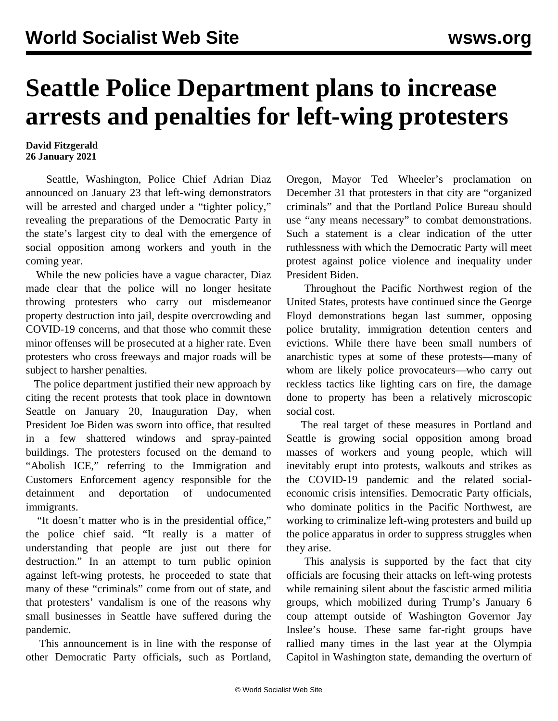## **Seattle Police Department plans to increase arrests and penalties for left-wing protesters**

## **David Fitzgerald 26 January 2021**

 Seattle, Washington, Police Chief Adrian Diaz announced on January 23 that left-wing demonstrators will be arrested and charged under a "tighter policy," revealing the preparations of the Democratic Party in the state's largest city to deal with the emergence of social opposition among workers and youth in the coming year.

 While the new policies have a vague character, Diaz made clear that the police will no longer hesitate throwing protesters who carry out misdemeanor property destruction into jail, despite overcrowding and COVID-19 concerns, and that those who commit these minor offenses will be prosecuted at a higher rate. Even protesters who cross freeways and major roads will be subject to harsher penalties.

 The police department justified their new approach by citing the recent protests that took place in downtown Seattle on January 20, Inauguration Day, when President Joe Biden was sworn into office, that resulted in a few shattered windows and spray-painted buildings. The protesters focused on the demand to "Abolish ICE," referring to the Immigration and Customers Enforcement agency responsible for the detainment and deportation of undocumented immigrants.

 "It doesn't matter who is in the presidential office," the police chief said. "It really is a matter of understanding that people are just out there for destruction." In an attempt to turn public opinion against left-wing protests, he proceeded to state that many of these "criminals" come from out of state, and that protesters' vandalism is one of the reasons why small businesses in Seattle have suffered during the pandemic.

 This announcement is in line with the response of other Democratic Party officials, such as Portland,

Oregon, Mayor Ted Wheeler's proclamation on December 31 that protesters in that city are "organized criminals" and that the Portland Police Bureau should use "any means necessary" to combat demonstrations. Such a statement is a clear indication of the utter ruthlessness with which the Democratic Party will meet protest against police violence and inequality under President Biden.

 Throughout the Pacific Northwest region of the United States, protests have continued since the George Floyd demonstrations began last summer, opposing police brutality, immigration detention centers and evictions. While there have been small numbers of anarchistic types at some of these protests—many of whom are likely police provocateurs—who carry out reckless tactics like lighting cars on fire, the damage done to property has been a relatively microscopic social cost.

 The real target of these measures in Portland and Seattle is growing social opposition among broad masses of workers and young people, which will inevitably erupt into protests, walkouts and strikes as the COVID-19 pandemic and the related socialeconomic crisis intensifies. Democratic Party officials, who dominate politics in the Pacific Northwest, are working to criminalize left-wing protesters and build up the police apparatus in order to suppress struggles when they arise.

 This analysis is supported by the fact that city officials are focusing their attacks on left-wing protests while remaining silent about the fascistic armed militia groups, which mobilized during Trump's January 6 coup attempt outside of Washington Governor Jay Inslee's house. These same far-right groups have rallied many times in the last year at the Olympia Capitol in Washington state, demanding the overturn of